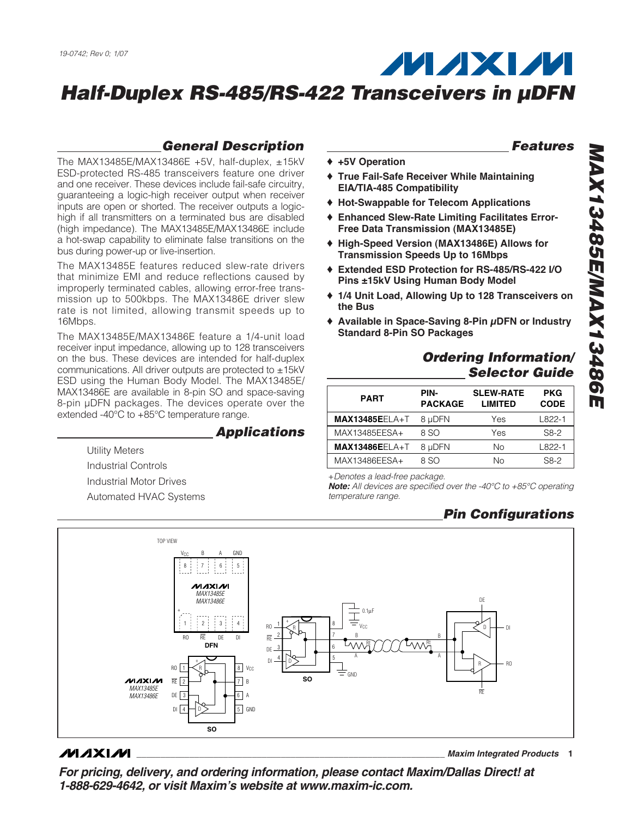### **General Description**

The MAX13485E/MAX13486E +5V, half-duplex,  $±15kV$ ESD-protected RS-485 transceivers feature one driver and one receiver. These devices include fail-safe circuitry, guaranteeing a logic-high receiver output when receiver inputs are open or shorted. The receiver outputs a logichigh if all transmitters on a terminated bus are disabled (high impedance). The MAX13485E/MAX13486E include a hot-swap capability to eliminate false transitions on the bus during power-up or live-insertion.

The MAX13485E features reduced slew-rate drivers that minimize EMI and reduce reflections caused by improperly terminated cables, allowing error-free transmission up to 500kbps. The MAX13486E driver slew rate is not limited, allowing transmit speeds up to 16Mbps.

The MAX13485E/MAX13486E feature a 1/4-unit load receiver input impedance, allowing up to 128 transceivers on the bus. These devices are intended for half-duplex communications. All driver outputs are protected to  $\pm$ 15kV ESD using the Human Body Model. The MAX13485E/ MAX13486E are available in 8-pin SO and space-saving 8-pin µDFN packages. The devices operate over the extended -40°C to +85°C temperature range.

```
Applications
```
Utility Meters Industrial Controls Industrial Motor Drives Automated HVAC Systems

### **Features**

- ♦ **+5V Operation**
- ♦ **True Fail-Safe Receiver While Maintaining EIA/TIA-485 Compatibility**
- ♦ **Hot-Swappable for Telecom Applications**
- ♦ **Enhanced Slew-Rate Limiting Facilitates Error-Free Data Transmission (MAX13485E)**

**MAXM** 

- ♦ **High-Speed Version (MAX13486E) Allows for Transmission Speeds Up to 16Mbps**
- ♦ **Extended ESD Protection for RS-485/RS-422 I/O Pins ±15kV Using Human Body Model**
- ♦ **1/4 Unit Load, Allowing Up to 128 Transceivers on the Bus**
- ♦ **Available in Space-Saving 8-Pin μDFN or Industry Standard 8-Pin SO Packages**

## **Ordering Information/ Selector Guide**

| <b>PART</b>           | PIN-<br><b>PACKAGE</b> | <b>SLEW-RATE</b><br><b>LIMITED</b> | <b>PKG</b><br><b>CODE</b> |
|-----------------------|------------------------|------------------------------------|---------------------------|
| $MAX13485EELA+T$      | 8 µDFN                 | Yes                                | $L822-1$                  |
| MAX13485EESA+         | 8 SO                   | Yes                                | S8-2                      |
| <b>MAX13486EELA+T</b> | 8 µDFN                 | Nο                                 | 822-1                     |
| MAX13486EESA+         | 8 SO                   | Nο                                 | $S8-2$                    |

+Denotes a lead-free package.

**Note:** All devices are specified over the -40°C to +85°C operating temperature range.

## **Pin Configurations**



## **MAXIM**

**\_\_\_\_\_\_\_\_\_\_\_\_\_\_\_\_\_\_\_\_\_\_\_\_\_\_\_\_\_\_\_\_\_\_\_\_\_\_\_\_\_\_\_\_\_\_\_\_\_\_\_\_\_\_\_\_\_\_\_\_\_\_\_\_ Maxim Integrated Products 1**

**For pricing, delivery, and ordering information, please contact Maxim/Dallas Direct! at 1-888-629-4642, or visit Maxim's website at www.maxim-ic.com.**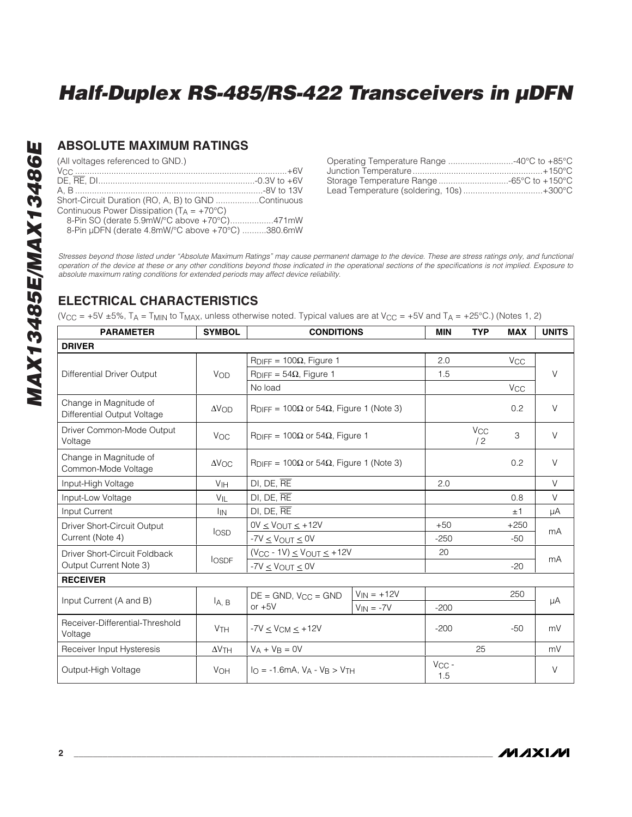### **ABSOLUTE MAXIMUM RATINGS**

(All voltages referenced to GND.)

| Short-Circuit Duration (RO, A, B) to GND Continuous   |  |
|-------------------------------------------------------|--|
| Continuous Power Dissipation ( $T_A = +70^{\circ}C$ ) |  |
| 8-Pin SO (derate 5.9mW/°C above +70°C)471mW           |  |
| 8-Pin µDFN (derate 4.8mW/°C above +70°C) 380.6mW      |  |

| Operating Temperature Range 40°C to +85°C |  |
|-------------------------------------------|--|
|                                           |  |
|                                           |  |
| Lead Temperature (soldering, 10s)+300°C   |  |

Stresses beyond those listed under "Absolute Maximum Ratings" may cause permanent damage to the device. These are stress ratings only, and functional operation of the device at these or any other conditions beyond those indicated in the operational sections of the specifications is not implied. Exposure to absolute maximum rating conditions for extended periods may affect device reliability.

### **ELECTRICAL CHARACTERISTICS**

(V<sub>CC</sub> = +5V ±5%, T<sub>A</sub> = T<sub>MIN</sub> to T<sub>MAX</sub>, unless otherwise noted. Typical values are at V<sub>CC</sub> = +5V and T<sub>A</sub> = +25°C.) (Notes 1, 2)

| <b>PARAMETER</b>                                      | <b>SYMBOL</b>         | <b>CONDITIONS</b>                                                |                 | <b>MIN</b>        | <b>TYP</b>                  | <b>MAX</b>            | <b>UNITS</b> |
|-------------------------------------------------------|-----------------------|------------------------------------------------------------------|-----------------|-------------------|-----------------------------|-----------------------|--------------|
| <b>DRIVER</b>                                         |                       |                                                                  |                 |                   |                             |                       |              |
|                                                       |                       | $R_{\text{DIFF}} = 100\Omega$ , Figure 1                         |                 | 2.0               |                             | V <sub>CC</sub>       |              |
| Differential Driver Output                            | VOD                   | $R_{\text{DIFF}} = 54\Omega$ , Figure 1                          |                 | 1.5               |                             |                       | $\vee$       |
|                                                       |                       | No load                                                          |                 |                   |                             | <b>V<sub>CC</sub></b> |              |
| Change in Magnitude of<br>Differential Output Voltage | $\Delta V$            | $R_{\text{DIFF}} = 100\Omega$ or 54 $\Omega$ , Figure 1 (Note 3) |                 |                   |                             | 0.2                   | $\vee$       |
| Driver Common-Mode Output<br>Voltage                  | Voc                   | $R_{\text{DIFF}} = 100\Omega$ or 54 $\Omega$ , Figure 1          |                 |                   | <b>V<sub>CC</sub></b><br>/2 | 3                     | $\vee$       |
| Change in Magnitude of<br>Common-Mode Voltage         | $\Delta V$ OC         | $R_{\text{DIFF}} = 100\Omega$ or 54 $\Omega$ , Figure 1 (Note 3) |                 |                   |                             | 0.2                   | $\vee$       |
| Input-High Voltage                                    | V <sub>IH</sub>       | DI, DE, RE                                                       |                 | 2.0               |                             |                       | $\vee$       |
| Input-Low Voltage                                     | $V_{\parallel}$       | DI, DE, RE                                                       |                 |                   |                             | 0.8                   | $\vee$       |
| Input Current                                         | <b>I</b> IN           | DI, DE, RE                                                       |                 |                   |                             | ±1                    | μA           |
| Driver Short-Circuit Output                           | $I$ <sub>OSD</sub>    | $0V \leq V_{\text{OUT}} \leq +12V$                               |                 | $+50$             |                             | $+250$                | mA           |
| Current (Note 4)                                      |                       | $-7V \leq V_{\text{OUT}} \leq 0V$                                |                 | $-250$            |                             | $-50$                 |              |
| Driver Short-Circuit Foldback                         | <b>LOSDE</b>          | $(V_{CC} - 1V) \leq V_{OUT} \leq +12V$                           |                 | 20                |                             |                       | mA           |
| Output Current Note 3)                                |                       | $-7V \leq V$ OUT $\leq 0V$                                       |                 |                   | $-20$                       |                       |              |
| <b>RECEIVER</b>                                       |                       |                                                                  |                 |                   |                             |                       |              |
| Input Current (A and B)                               | I <sub>A</sub> , B    | $DE = GND$ , $V_{CC} = GND$                                      | $V_{1N} = +12V$ |                   |                             | 250                   | μA           |
|                                                       |                       | or $+5V$                                                         | $V_{IN} = -7V$  | $-200$            |                             |                       |              |
| Receiver-Differential-Threshold<br>Voltage            | <b>V<sub>TH</sub></b> | $-7V < V_{CM} < +12V$                                            |                 | $-200$            |                             | $-50$                 | mV           |
| Receiver Input Hysteresis                             | $\Delta V$ TH         | $V_A + V_B = 0V$                                                 |                 |                   | 25                          |                       | mV           |
| Output-High Voltage                                   | <b>VOH</b>            | $I_O = -1.6mA$ , $V_A - V_B > V_{TH}$                            |                 | $V_{CC}$ -<br>1.5 |                             |                       | V            |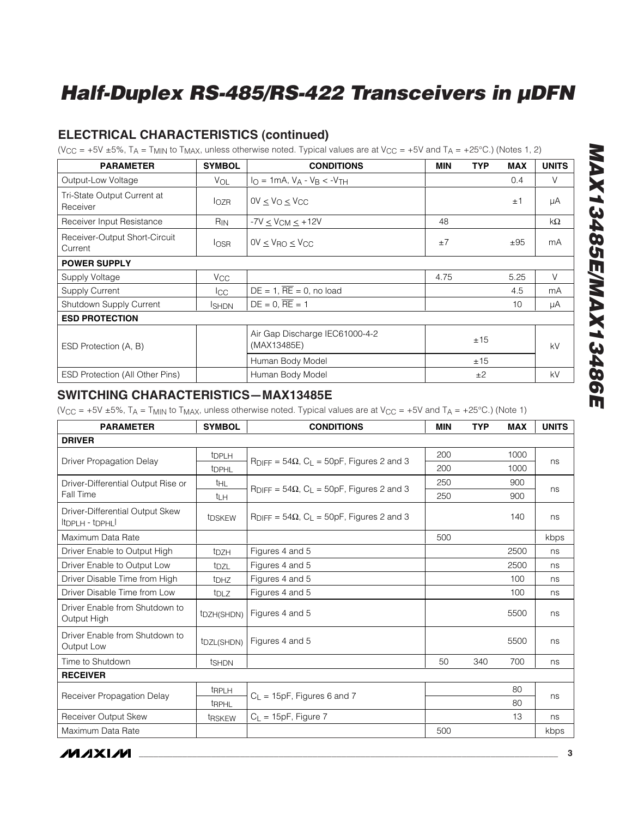### **ELECTRICAL CHARACTERISTICS (continued)**

(V<sub>CC</sub> = +5V ±5%, T<sub>A</sub> = T<sub>MIN</sub> to T<sub>MAX</sub>, unless otherwise noted. Typical values are at V<sub>CC</sub> = +5V and T<sub>A</sub> = +25°C.) (Notes 1, 2)

| <b>PARAMETER</b>                         | <b>SYMBOL</b>          | <b>CONDITIONS</b>                                  | <b>MIN</b> | <b>TYP</b> | <b>MAX</b> | <b>UNITS</b> |
|------------------------------------------|------------------------|----------------------------------------------------|------------|------------|------------|--------------|
| Output-Low Voltage                       | $V_{OL}$               | $I_{\Omega}$ = 1mA, $V_{A}$ - $V_{B}$ < - $V_{TH}$ |            |            | 0.4        | V            |
| Tri-State Output Current at<br>Receiver  | $I_{OZR}$              | $0V \leq V_O \leq V_{CC}$                          |            |            | ±1         | μA           |
| Receiver Input Resistance                | R <sub>IN</sub>        | $-7V \leq VCM \leq +12V$                           | 48         |            |            | kΩ           |
| Receiver-Output Short-Circuit<br>Current | <b>los<sub>R</sub></b> | $0V < V_{\text{RO}} < V_{\text{CC}}$               | $\pm 7$    |            | ±95        | mA           |
| <b>POWER SUPPLY</b>                      |                        |                                                    |            |            |            |              |
| Supply Voltage                           | V <sub>CC</sub>        |                                                    | 4.75       |            | 5.25       | V            |
| <b>Supply Current</b>                    | lcc.                   | $DE = 1$ , $RE = 0$ , no load                      |            |            | 4.5        | mA           |
| Shutdown Supply Current                  | <b>ISHDN</b>           | $DE = 0. \overline{RE} = 1$                        |            |            | 10         | μA           |
| <b>ESD PROTECTION</b>                    |                        |                                                    |            |            |            |              |
| ESD Protection (A, B)                    |                        | Air Gap Discharge IEC61000-4-2<br>(MAX13485E)      |            | ±15        |            | kV           |
|                                          |                        | Human Body Model                                   |            | ±15        |            |              |
| ESD Protection (All Other Pins)          |                        | Human Body Model                                   |            | ±2         |            | kV           |

### **SWITCHING CHARACTERISTICS—MAX13485E**

(V<sub>CC</sub> = +5V ±5%, T<sub>A</sub> = T<sub>MIN</sub> to T<sub>MAX</sub>, unless otherwise noted. Typical values are at V<sub>CC</sub> = +5V and T<sub>A</sub> = +25°C.) (Note 1)

| <b>PARAMETER</b>                                                              | <b>SYMBOL</b>           | <b>CONDITIONS</b>                                                     | <b>MIN</b> | <b>TYP</b> | <b>MAX</b> | <b>UNITS</b> |  |
|-------------------------------------------------------------------------------|-------------------------|-----------------------------------------------------------------------|------------|------------|------------|--------------|--|
| <b>DRIVER</b>                                                                 |                         |                                                                       |            |            |            |              |  |
| <b>Driver Propagation Delay</b>                                               | <b>t</b> DPLH           |                                                                       | 200        |            | 1000       | ns           |  |
|                                                                               | t <sub>DPHL</sub>       | $R_{\text{DIFF}} = 54\Omega$ , C <sub>L</sub> = 50pF, Figures 2 and 3 | 200        |            | 1000       |              |  |
| Driver-Differential Output Rise or                                            | thl                     | $R_{\text{DIFF}} = 54\Omega$ , C <sub>L</sub> = 50pF, Figures 2 and 3 | 250        |            | 900        | ns           |  |
| Fall Time                                                                     | t <sub>LH</sub>         |                                                                       | 250        |            | 900        |              |  |
| Driver-Differential Output Skew<br>$I$ <sub>LDPLH</sub> - $I$ <sub>DPHL</sub> | t <sub>D</sub> SKEW     | $R_{\text{DIFF}} = 54\Omega$ , C <sub>1</sub> = 50pF, Figures 2 and 3 |            |            | 140        | ns           |  |
| Maximum Data Rate                                                             |                         |                                                                       | 500        |            |            | kbps         |  |
| Driver Enable to Output High                                                  | t <sub>DZH</sub>        | Figures 4 and 5                                                       |            |            | 2500       | ns           |  |
| Driver Enable to Output Low                                                   | t <sub>DZL</sub>        | Figures 4 and 5                                                       |            |            | 2500       | ns           |  |
| Driver Disable Time from High                                                 | <b>t</b> DHZ            | Figures 4 and 5                                                       |            |            | 100        | ns           |  |
| Driver Disable Time from Low                                                  | $t_{\text{DL}}$         | Figures 4 and 5                                                       |            |            | 100        | ns           |  |
| Driver Enable from Shutdown to<br>Output High                                 | t <sub>DZH</sub> (SHDN) | Figures 4 and 5                                                       |            |            | 5500       | ns           |  |
| Driver Enable from Shutdown to<br>Output Low                                  | t <sub>DZL</sub> (SHDN) | Figures 4 and 5                                                       |            |            | 5500       | ns           |  |
| Time to Shutdown                                                              | tshDN                   |                                                                       | 50         | 340        | 700        | ns           |  |
| <b>RECEIVER</b>                                                               |                         |                                                                       |            |            |            |              |  |
|                                                                               | <b>tRPLH</b>            |                                                                       |            |            | 80         |              |  |
| Receiver Propagation Delay                                                    | <b>tRPHL</b>            | $C_L = 15pF$ , Figures 6 and 7                                        |            |            | 80         | ns           |  |
| Receiver Output Skew                                                          | t <sub>R</sub> SKEW     | $C_{L}$ = 15pF, Figure 7                                              |            |            | 13         | ns           |  |
| Maximum Data Rate                                                             |                         |                                                                       | 500        |            |            | kbps         |  |

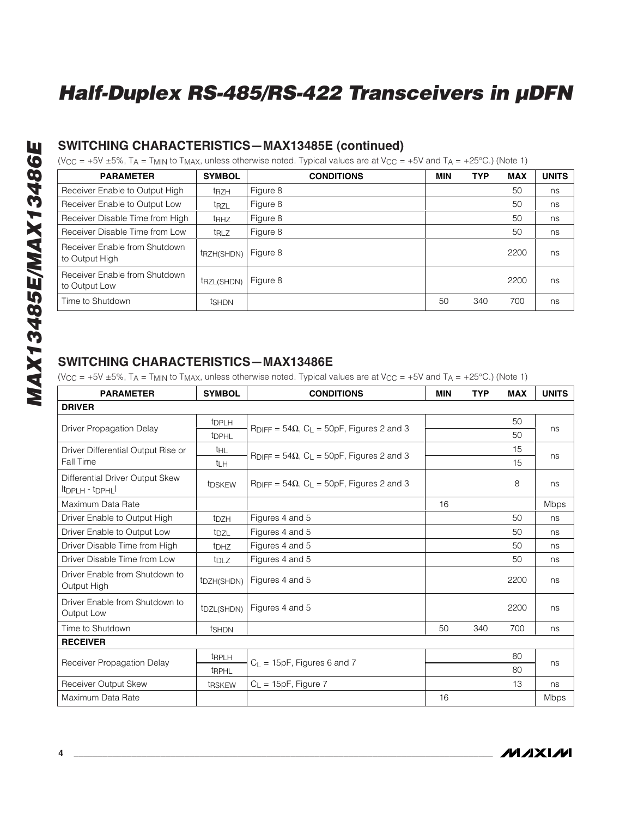### **SWITCHING CHARACTERISTICS—MAX13485E (continued)**

(V<sub>CC</sub> = +5V ±5%, T<sub>A</sub> = T<sub>MIN</sub> to T<sub>MAX</sub>, unless otherwise noted. Typical values are at V<sub>CC</sub> = +5V and T<sub>A</sub> = +25°C.) (Note 1)

| <b>PARAMETER</b>                                | <b>SYMBOL</b>           | <b>CONDITIONS</b> | <b>MIN</b> | <b>TYP</b> | <b>MAX</b> | <b>UNITS</b> |
|-------------------------------------------------|-------------------------|-------------------|------------|------------|------------|--------------|
| Receiver Enable to Output High                  | t <sub>RZH</sub>        | Figure 8          |            |            | 50         | ns           |
| Receiver Enable to Output Low                   | t <sub>RZL</sub>        | Figure 8          |            |            | 50         | ns           |
| Receiver Disable Time from High                 | t <sub>RHZ</sub>        | Figure 8          |            |            | 50         | ns           |
| Receiver Disable Time from Low                  | t <sub>RLZ</sub>        | Figure 8          |            |            | 50         | ns           |
| Receiver Enable from Shutdown<br>to Output High | t <sub>RZH</sub> (SHDN) | Figure 8          |            |            | 2200       | ns           |
| Receiver Enable from Shutdown<br>to Output Low  | t <sub>RZL</sub> (SHDN) | Figure 8          |            |            | 2200       | ns           |
| Time to Shutdown                                | tshon                   |                   | 50         | 340        | 700        | ns           |

### **SWITCHING CHARACTERISTICS—MAX13486E**

(V<sub>CC</sub> = +5V ±5%, T<sub>A</sub> = T<sub>MIN</sub> to T<sub>MAX</sub>, unless otherwise noted. Typical values are at V<sub>CC</sub> = +5V and T<sub>A</sub> = +25°C.) (Note 1)

| <b>PARAMETER</b>                                                              | <b>SYMBOL</b>           | <b>CONDITIONS</b>                                                     | <b>MIN</b> | <b>TYP</b> | <b>MAX</b> | <b>UNITS</b> |  |
|-------------------------------------------------------------------------------|-------------------------|-----------------------------------------------------------------------|------------|------------|------------|--------------|--|
| <b>DRIVER</b>                                                                 |                         |                                                                       |            |            |            |              |  |
|                                                                               | <b>t</b> DPLH           |                                                                       |            |            | 50         |              |  |
| <b>Driver Propagation Delay</b>                                               | <b>t</b> DPHL           | $R_{\text{DIFF}} = 54\Omega$ , C <sub>L</sub> = 50pF, Figures 2 and 3 |            |            | 50         | ns           |  |
| Driver Differential Output Rise or                                            | t <sub>HL</sub>         |                                                                       |            |            | 15         | ns           |  |
| Fall Time                                                                     | t <sub>LH</sub>         | $R_{\text{DIFF}} = 54\Omega$ , C <sub>L</sub> = 50pF, Figures 2 and 3 |            |            | 15         |              |  |
| Differential Driver Output Skew<br>$I$ <sub>LDPLH</sub> - $I$ <sub>DPHL</sub> | t <sub>D</sub> SKEW     | $R_{\text{DIFF}} = 54\Omega$ , C <sub>1</sub> = 50pF, Figures 2 and 3 |            |            | 8          | ns           |  |
| Maximum Data Rate                                                             |                         |                                                                       | 16         |            |            | <b>Mbps</b>  |  |
| Driver Enable to Output High                                                  | t <sub>DZH</sub>        | Figures 4 and 5                                                       |            |            | 50         | ns           |  |
| Driver Enable to Output Low                                                   | t <sub>DZL</sub>        | Figures 4 and 5                                                       |            |            | 50         | ns           |  |
| Driver Disable Time from High                                                 | <b>t</b> DHZ            | Figures 4 and 5                                                       |            |            | 50         | ns           |  |
| Driver Disable Time from Low                                                  | t <sub>DLZ</sub>        | Figures 4 and 5                                                       |            |            | 50         | ns           |  |
| Driver Enable from Shutdown to<br>Output High                                 | t <sub>DZH</sub> (SHDN) | Figures 4 and 5                                                       |            |            | 2200       | ns           |  |
| Driver Enable from Shutdown to<br>Output Low                                  | t <sub>DZL</sub> (SHDN) | Figures 4 and 5                                                       |            |            | 2200       | ns           |  |
| Time to Shutdown                                                              | tshDN                   |                                                                       | 50         | 340        | 700        | ns           |  |
| <b>RECEIVER</b>                                                               |                         |                                                                       |            |            |            |              |  |
|                                                                               | <b>tRPLH</b>            |                                                                       |            |            | 80         |              |  |
| Receiver Propagation Delay                                                    | <b>tRPHL</b>            | $C_L$ = 15pF, Figures 6 and 7                                         |            |            | 80         | ns           |  |
| Receiver Output Skew                                                          | t <sub>R</sub> SKEW     | $C_L = 15pF$ , Figure 7                                               |            |            | 13         | ns           |  |
| Maximum Data Rate                                                             |                         |                                                                       | 16         |            |            | Mbps         |  |

**MAXIM**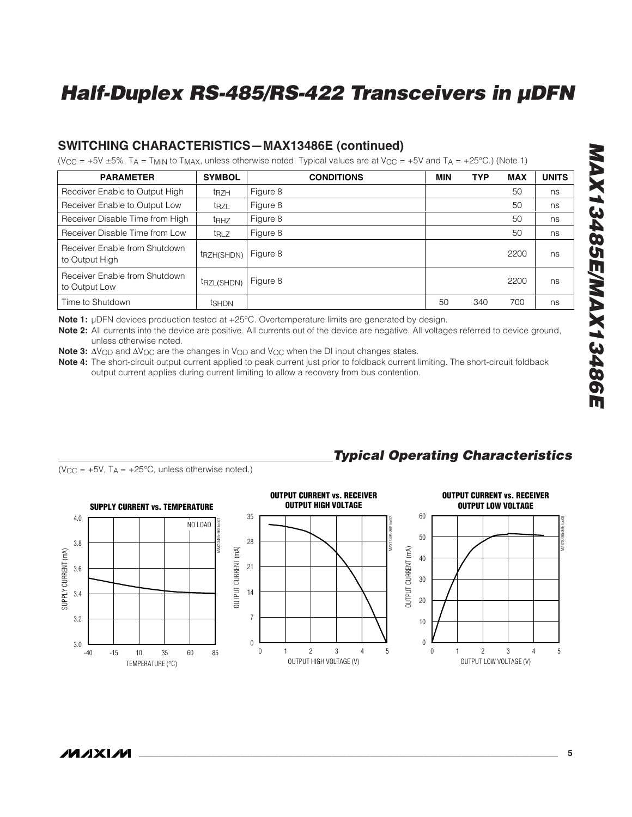### **SWITCHING CHARACTERISTICS—MAX13486E (continued)**

 $(V_{CC} = +5V \pm 5\%$ ,  $T_A = T_{MIN}$  to  $T_{MAX}$ , unless otherwise noted. Typical values are at  $V_{CC} = +5V$  and  $T_A = +25°C$ .) (Note 1)

| <b>PARAMETER</b>                                | <b>SYMBOL</b>           | <b>CONDITIONS</b> | <b>MIN</b> | <b>TYP</b> | <b>MAX</b> | <b>UNITS</b> |
|-------------------------------------------------|-------------------------|-------------------|------------|------------|------------|--------------|
| Receiver Enable to Output High                  | t <sub>RZH</sub>        | Figure 8          |            |            | 50         | ns           |
| Receiver Enable to Output Low                   | t <sub>RZL</sub>        | Figure 8          |            |            | 50         | ns           |
| Receiver Disable Time from High                 | t <sub>RHZ</sub>        | Figure 8          |            |            | 50         | ns           |
| Receiver Disable Time from Low                  | t <sub>RLZ</sub>        | Figure 8          |            |            | 50         | ns           |
| Receiver Enable from Shutdown<br>to Output High | t <sub>RZH</sub> (SHDN) | Figure 8          |            |            | 2200       | ns           |
| Receiver Enable from Shutdown<br>to Output Low  | t <sub>RZL</sub> (SHDN) | Figure 8          |            |            | 2200       | ns           |
| Time to Shutdown                                | tshDN                   |                   | 50         | 340        | 700        | ns           |

**Note 1:** µDFN devices production tested at +25°C. Overtemperature limits are generated by design.

**Note 2:** All currents into the device are positive. All currents out of the device are negative. All voltages referred to device ground, unless otherwise noted.

**Note 3:** ΔV<sub>OD</sub> and ΔV<sub>OC</sub> are the changes in V<sub>OD</sub> and V<sub>OC</sub> when the DI input changes states.

 $(V_{CC} = +5V, T_A = +25°C,$  unless otherwise noted.)

**Note 4:** The short-circuit output current applied to peak current just prior to foldback current limiting. The short-circuit foldback output current applies during current limiting to allow a recovery from bus contention.

**OUTPUT CURRENT vs. RECEIVER OUTPUT CURRENT vs. RECEIVER OUTPUT HIGH VOLTAGE OUTPUT LOW VOLTAGE SUPPLY CURRENT vs. TEMPERATURE** 35 60 4.0 MAX13485-86E toc02 MAX13485-86E toc01 NO LOAD 50 28 3.8 OUTPUT CURRENT (mA) OUTPUT CURRENT (mA) OUTPUT CURRENT (mA) OUTPUT CURRENT (mA)SUPPLY CURRENT (mA) SUPPLY CURRENT (mA) 40 21 3.6 30 14 3.4 20 7 3.2 10  $\mathbf 0$  $\boldsymbol{0}$ 3.0 0 2 1 345 0 2 1 345 -40 10 -15 35 60 85 OUTPUT HIGH VOLTAGE (V) OUTPUT LOW VOLTAGE (V) TEMPERATURE (°C)

**Typical Operating Characteristics**

MAX13485-86E toc03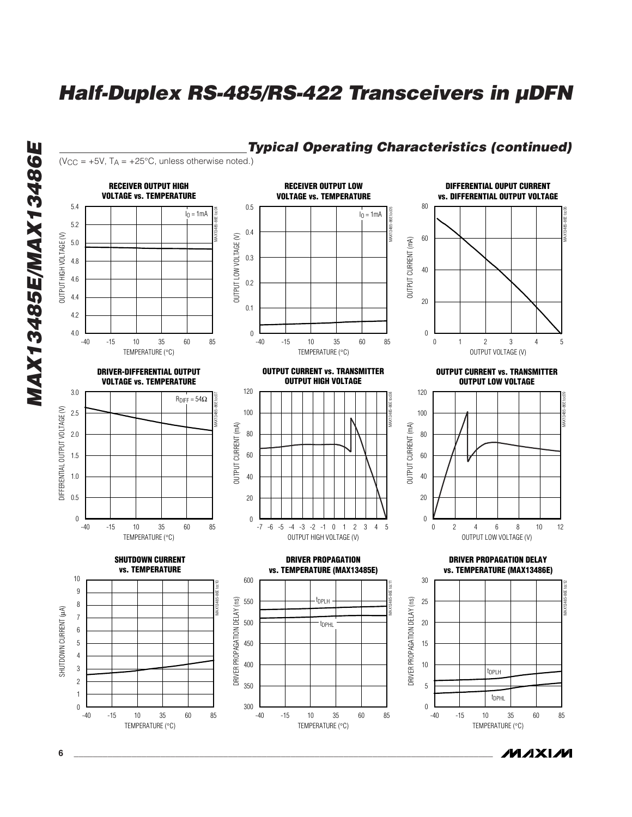

**MAXM** 

**MAX13485E/MAX13486E MAX13485E/MAX13486E**

**6 \_\_\_\_\_\_\_\_\_\_\_\_\_\_\_\_\_\_\_\_\_\_\_\_\_\_\_\_\_\_\_\_\_\_\_\_\_\_\_\_\_\_\_\_\_\_\_\_\_\_\_\_\_\_\_\_\_\_\_\_\_\_\_\_\_\_\_\_\_\_\_\_\_\_\_\_\_\_\_\_\_\_\_\_\_\_\_**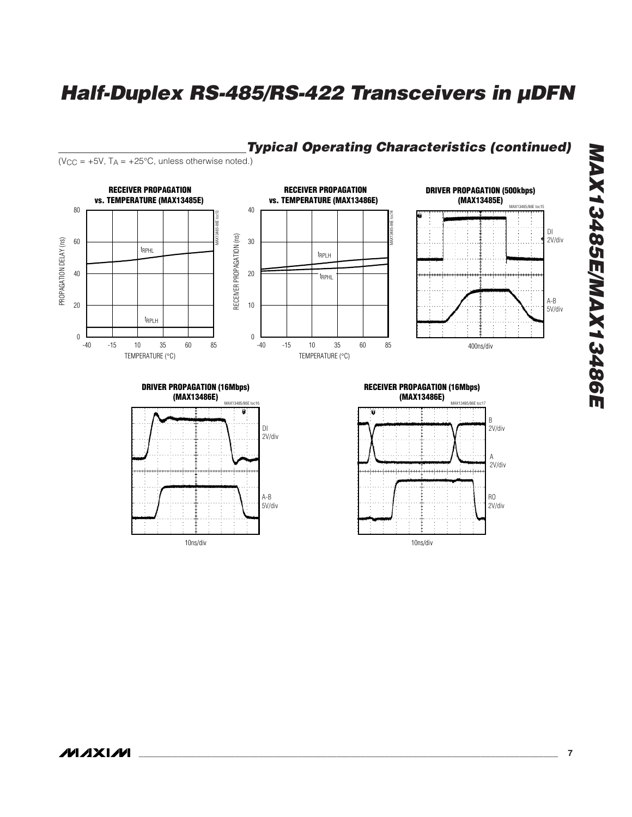

## **Typical Operating Characteristics (continued)**

**MAXIM** 

**MAX13485E/MAX13486E**

MAX13485E/MAX13486E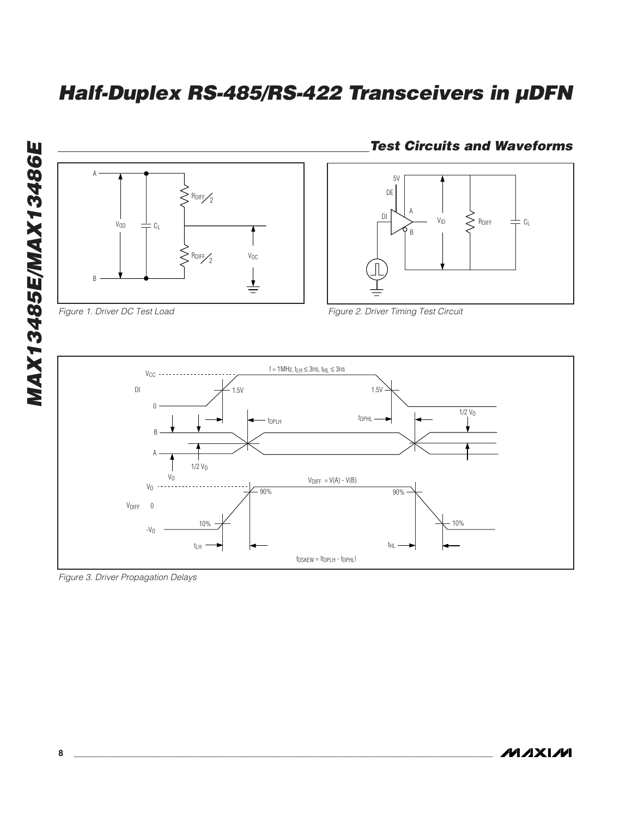

A B DE DI 5V  $V_{\text{ID}}$   $\geq$  R<sub>DIFF</sub>  $\pm$  C<sub>L</sub>

**Test Circuits and Waveforms**

Figure 1. Driver DC Test Load

Figure 2. Driver Timing Test Circuit



Figure 3. Driver Propagation Delays

### **MAXIM**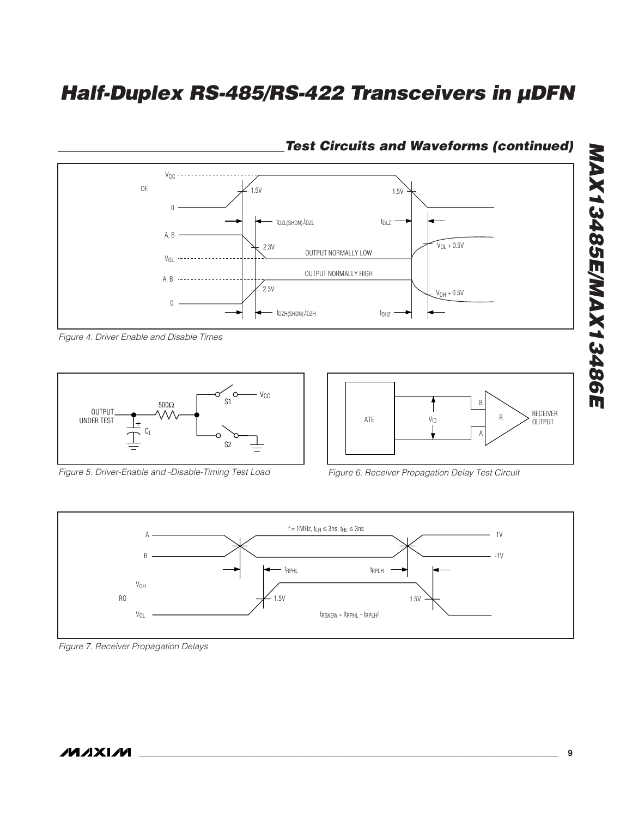

### **Test Circuits and Waveforms (continued)**

Figure 4. Driver Enable and Disable Times



Figure 5. Driver-Enable and -Disable-Timing Test Load



Figure 6. Receiver Propagation Delay Test Circuit





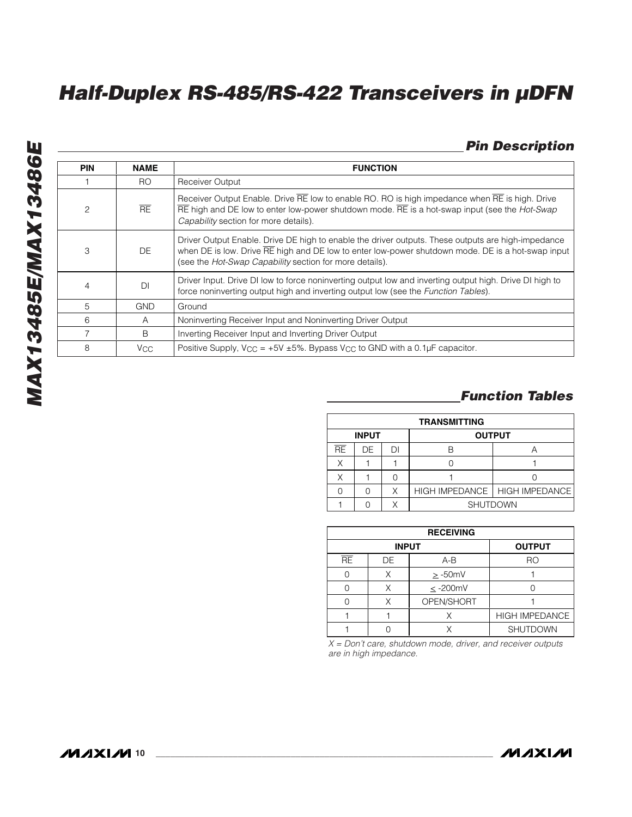### **Pin Description**

| <b>PIN</b> | <b>NAME</b>           | <b>FUNCTION</b>                                                                                                                                                                                                                                                    |
|------------|-----------------------|--------------------------------------------------------------------------------------------------------------------------------------------------------------------------------------------------------------------------------------------------------------------|
|            | RO.                   | Receiver Output                                                                                                                                                                                                                                                    |
| 2          | RE                    | Receiver Output Enable. Drive RE low to enable RO. RO is high impedance when RE is high. Drive<br>RE high and DE low to enter low-power shutdown mode. RE is a hot-swap input (see the <i>Hot-Swap</i><br>Capability section for more details).                    |
| 3          | DE                    | Driver Output Enable. Drive DE high to enable the driver outputs. These outputs are high-impedance<br>when DE is low. Drive RE high and DE low to enter low-power shutdown mode. DE is a hot-swap input<br>(see the Hot-Swap Capability section for more details). |
| 4          | DI                    | Driver Input. Drive DI low to force noninverting output low and inverting output high. Drive DI high to<br>force noninverting output high and inverting output low (see the Function Tables).                                                                      |
| 5          | <b>GND</b>            | Ground                                                                                                                                                                                                                                                             |
| 6          | A                     | Noninverting Receiver Input and Noninverting Driver Output                                                                                                                                                                                                         |
|            | B                     | Inverting Receiver Input and Inverting Driver Output                                                                                                                                                                                                               |
| 8          | <b>V<sub>CC</sub></b> | Positive Supply, $V_{CC} = +5V \pm 5\%$ . Bypass $V_{CC}$ to GND with a 0.1µF capacitor.                                                                                                                                                                           |

### **Function Tables**

| <b>TRANSMITTING</b> |    |  |                 |                                 |  |  |  |
|---------------------|----|--|-----------------|---------------------------------|--|--|--|
| <b>INPUT</b>        |    |  | <b>OUTPUT</b>   |                                 |  |  |  |
| RE                  | DE |  |                 |                                 |  |  |  |
| Χ                   |    |  |                 |                                 |  |  |  |
| Χ                   |    |  |                 |                                 |  |  |  |
|                     |    |  |                 | HIGH IMPEDANCE   HIGH IMPEDANCE |  |  |  |
|                     |    |  | <b>SHUTDOWN</b> |                                 |  |  |  |

| <b>RECEIVING</b> |              |               |                       |  |  |  |
|------------------|--------------|---------------|-----------------------|--|--|--|
|                  | <b>INPUT</b> | <b>OUTPUT</b> |                       |  |  |  |
| $\overline{RE}$  | DE           | $A-B$         | RO                    |  |  |  |
|                  | Χ            | $\ge$ -50mV   |                       |  |  |  |
|                  | Χ            | $< -200$ mV   |                       |  |  |  |
|                  | Χ            | OPEN/SHORT    |                       |  |  |  |
|                  |              |               | <b>HIGH IMPEDANCE</b> |  |  |  |
|                  |              |               | <b>SHUTDOWN</b>       |  |  |  |

 $X = Don't care, shutdown mode, driver, and receiver outputs$ are in high impedance.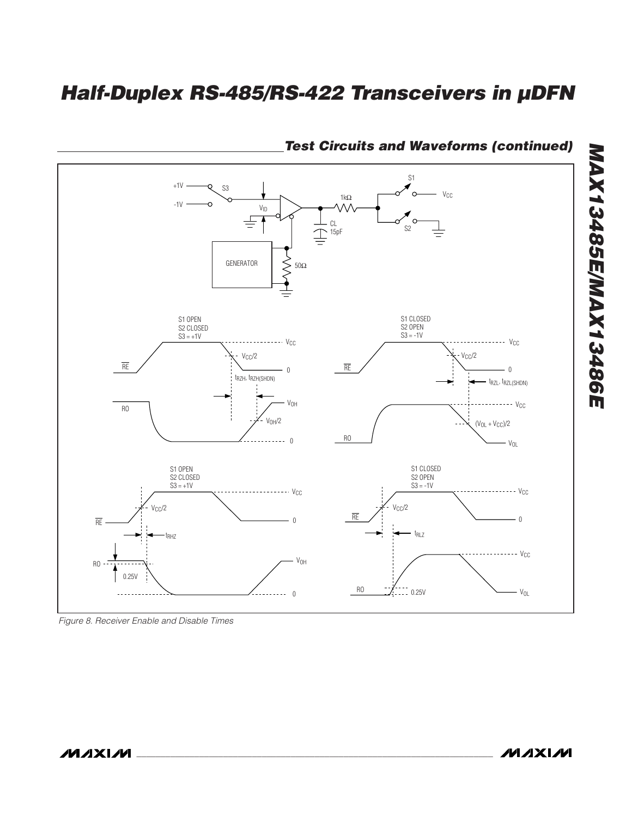

**\_\_\_\_\_\_\_\_\_\_\_\_\_\_\_\_\_\_\_\_\_\_\_\_\_\_\_\_\_\_\_\_\_\_\_\_\_\_\_\_\_\_\_\_\_\_\_\_\_\_\_\_\_\_\_\_\_\_\_\_\_\_\_\_\_\_\_\_\_\_\_\_\_\_**

**Test Circuits and Waveforms (continued)**

Figure 8. Receiver Enable and Disable Times

**MAXIM** 

**MAX13485E/MAX13486E**

MAX13485E/MAX13486E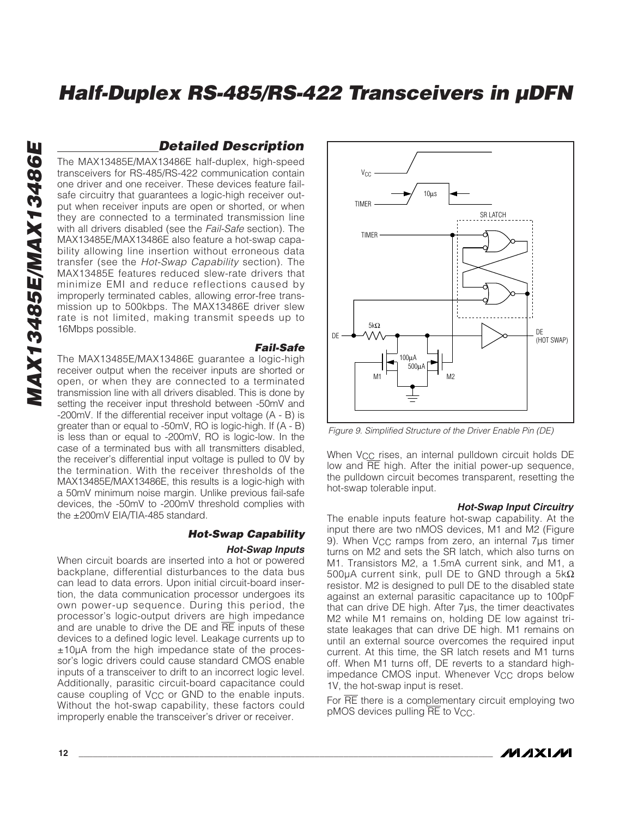### **Detailed Description**

The MAX13485E/MAX13486E half-duplex, high-speed transceivers for RS-485/RS-422 communication contain one driver and one receiver. These devices feature failsafe circuitry that guarantees a logic-high receiver output when receiver inputs are open or shorted, or when they are connected to a terminated transmission line with all drivers disabled (see the *Fail-Safe* section). The MAX13485E/MAX13486E also feature a hot-swap capability allowing line insertion without erroneous data transfer (see the Hot-Swap Capability section). The MAX13485E features reduced slew-rate drivers that minimize EMI and reduce reflections caused by improperly terminated cables, allowing error-free transmission up to 500kbps. The MAX13486E driver slew rate is not limited, making transmit speeds up to 16Mbps possible.

#### **Fail-Safe**

The MAX13485E/MAX13486E guarantee a logic-high receiver output when the receiver inputs are shorted or open, or when they are connected to a terminated transmission line with all drivers disabled. This is done by setting the receiver input threshold between -50mV and -200mV. If the differential receiver input voltage (A - B) is greater than or equal to -50mV, RO is logic-high. If (A - B) is less than or equal to -200mV, RO is logic-low. In the case of a terminated bus with all transmitters disabled, the receiver's differential input voltage is pulled to 0V by the termination. With the receiver thresholds of the MAX13485E/MAX13486E, this results is a logic-high with a 50mV minimum noise margin. Unlike previous fail-safe devices, the -50mV to -200mV threshold complies with the ±200mV EIA/TIA-485 standard.

#### **Hot-Swap Capability**

#### **Hot-Swap Inputs**

When circuit boards are inserted into a hot or powered backplane, differential disturbances to the data bus can lead to data errors. Upon initial circuit-board insertion, the data communication processor undergoes its own power-up sequence. During this period, the processor's logic-output drivers are high impedance and are unable to drive the DE and RE inputs of these devices to a defined logic level. Leakage currents up to ±10µA from the high impedance state of the processor's logic drivers could cause standard CMOS enable inputs of a transceiver to drift to an incorrect logic level. Additionally, parasitic circuit-board capacitance could cause coupling of V<sub>CC</sub> or GND to the enable inputs. Without the hot-swap capability, these factors could improperly enable the transceiver's driver or receiver.



Figure 9. Simplified Structure of the Driver Enable Pin (DE)

When V<sub>CC</sub> rises, an internal pulldown circuit holds DE low and RE high. After the initial power-up sequence, the pulldown circuit becomes transparent, resetting the hot-swap tolerable input.

#### **Hot-Swap Input Circuitry**

The enable inputs feature hot-swap capability. At the input there are two nMOS devices, M1 and M2 (Figure 9). When V<sub>CC</sub> ramps from zero, an internal 7us timer turns on M2 and sets the SR latch, which also turns on M1. Transistors M2, a 1.5mA current sink, and M1, a 500μA current sink, pull DE to GND through a  $5kΩ$ resistor. M2 is designed to pull DE to the disabled state against an external parasitic capacitance up to 100pF that can drive DE high. After 7µs, the timer deactivates M2 while M1 remains on, holding DE low against tristate leakages that can drive DE high. M1 remains on until an external source overcomes the required input current. At this time, the SR latch resets and M1 turns off. When M1 turns off, DE reverts to a standard highimpedance CMOS input. Whenever V<sub>CC</sub> drops below 1V, the hot-swap input is reset.

For RE there is a complementary circuit employing two pMOS devices pulling  $\overline{RE}$  to V<sub>CC</sub>.

$$
\mathcal{N}(\mathcal{N})\times \mathcal{N}
$$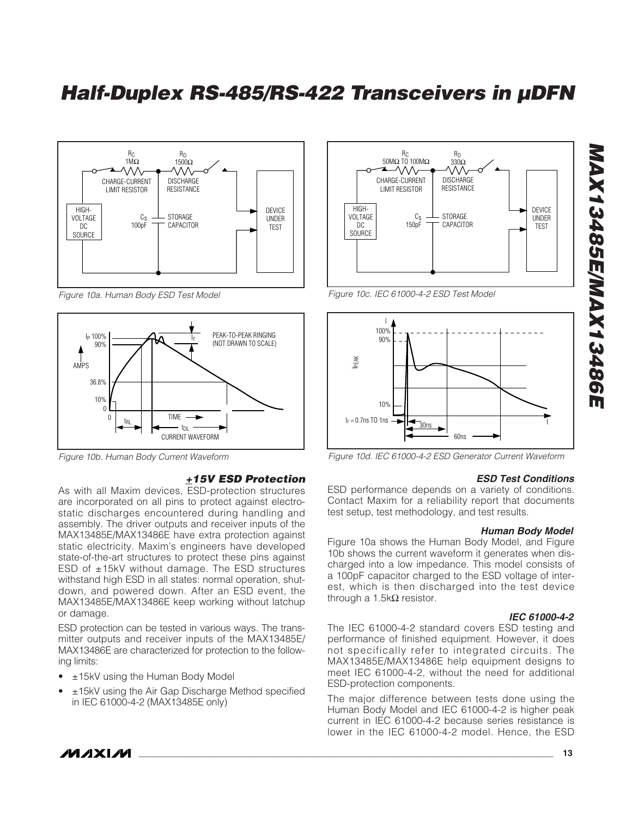

Figure 10a. Human Body ESD Test Model



Figure 10b. Human Body Current Waveform

#### **+15V ESD Protection**

As with all Maxim devices, ESD-protection structures are incorporated on all pins to protect against electrostatic discharges encountered during handling and assembly. The driver outputs and receiver inputs of the MAX13485E/MAX13486E have extra protection against static electricity. Maxim's engineers have developed state-of-the-art structures to protect these pins against ESD of ±15kV without damage. The ESD structures withstand high ESD in all states: normal operation, shutdown, and powered down. After an ESD event, the MAX13485E/MAX13486E keep working without latchup or damage.

ESD protection can be tested in various ways. The transmitter outputs and receiver inputs of the MAX13485E/ MAX13486E are characterized for protection to the following limits:

- ±15kV using the Human Body Model
- ±15kV using the Air Gap Discharge Method specified in IEC 61000-4-2 (MAX13485E only)



Figure 10c. IEC 61000-4-2 ESD Test Model



Figure 10d. IEC 61000-4-2 ESD Generator Current Waveform

#### **ESD Test Conditions**

**MAX13485E/MAX13486E**

MAX13485E/MAX134861

ESD performance depends on a variety of conditions. Contact Maxim for a reliability report that documents test setup, test methodology, and test results.

#### **Human Body Model**

Figure 10a shows the Human Body Model, and Figure 10b shows the current waveform it generates when discharged into a low impedance. This model consists of a 100pF capacitor charged to the ESD voltage of interest, which is then discharged into the test device through a  $1.5$ kΩ resistor.

#### **IEC 61000-4-2**

The IEC 61000-4-2 standard covers ESD testing and performance of finished equipment. However, it does not specifically refer to integrated circuits. The MAX13485E/MAX13486E help equipment designs to meet IEC 61000-4-2, without the need for additional ESD-protection components.

The major difference between tests done using the Human Body Model and IEC 61000-4-2 is higher peak current in IEC 61000-4-2 because series resistance is lower in the IEC 61000-4-2 model. Hence, the ESD

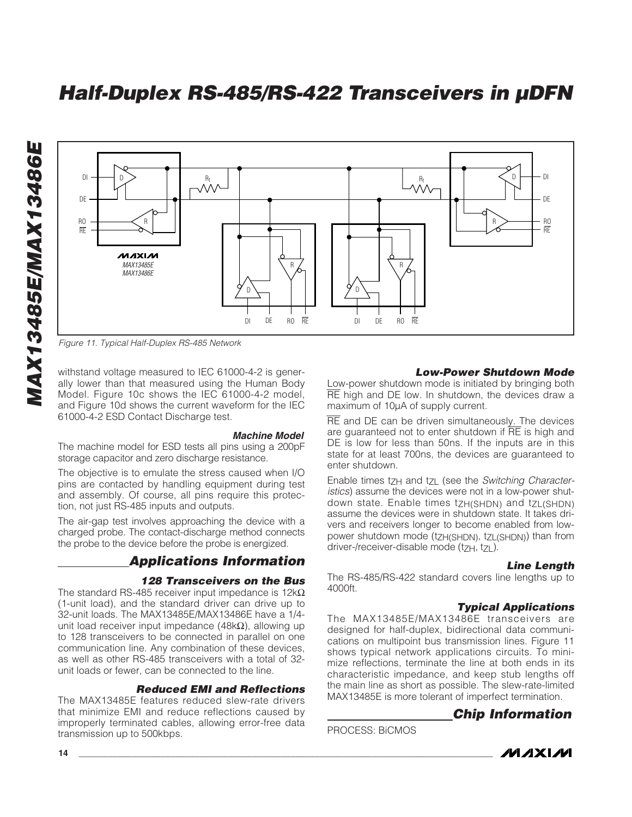

Figure 11. Typical Half-Duplex RS-485 Network

ally lower than that measured using the Human Body Model. Figure 10c shows the IEC 61000-4-2 model, and Figure 10d shows the current waveform for the IEC 61000-4-2 ESD Contact Discharge test.

#### **Machine Model**

The machine model for ESD tests all pins using a 200pF storage capacitor and zero discharge resistance.

The objective is to emulate the stress caused when I/O pins are contacted by handling equipment during test and assembly. Of course, all pins require this protection, not just RS-485 inputs and outputs.

The air-gap test involves approaching the device with a charged probe. The contact-discharge method connects the probe to the device before the probe is energized.

## **Applications Information**

#### **128 Transceivers on the Bus**

The standard RS-485 receiver input impedance is  $12k\Omega$ (1-unit load), and the standard driver can drive up to 32-unit loads. The MAX13485E/MAX13486E have a 1/4 unit load receiver input impedance (48kΩ), allowing up to 128 transceivers to be connected in parallel on one communication line. Any combination of these devices, as well as other RS-485 transceivers with a total of 32 unit loads or fewer, can be connected to the line.

#### **Reduced EMI and Reflections**

The MAX13485E features reduced slew-rate drivers that minimize EMI and reduce reflections caused by improperly terminated cables, allowing error-free data transmission up to 500kbps.

#### **Low-Power Shutdown Mode**

Low-power shutdown mode is initiated by bringing both RE high and DE low. In shutdown, the devices draw a maximum of 10µA of supply current.

RE and DE can be driven simultaneously. The devices are guaranteed not to enter shutdown if RE is high and DE is low for less than 50ns. If the inputs are in this state for at least 700ns, the devices are guaranteed to enter shutdown.

Enable times tz<sub>H</sub> and tz<sub>L</sub> (see the Switching Characteristics) assume the devices were not in a low-power shutdown state. Enable times tZH(SHDN) and tZL(SHDN) assume the devices were in shutdown state. It takes drivers and receivers longer to become enabled from lowpower shutdown mode (tzH(SHDN), tzL(SHDN)) than from driver-/receiver-disable mode  $(t_{ZH}, t_{ZL})$ .

#### **Line Length**

The RS-485/RS-422 standard covers line lengths up to 4000ft.

#### **Typical Applications**

The MAX13485E/MAX13486E transceivers are designed for half-duplex, bidirectional data communications on multipoint bus transmission lines. Figure 11 shows typical network applications circuits. To minimize reflections, terminate the line at both ends in its characteristic impedance, and keep stub lengths off the main line as short as possible. The slew-rate-limited MAX13485E is more tolerant of imperfect termination.

**Chip Information**

PROCESS: BiCMOS

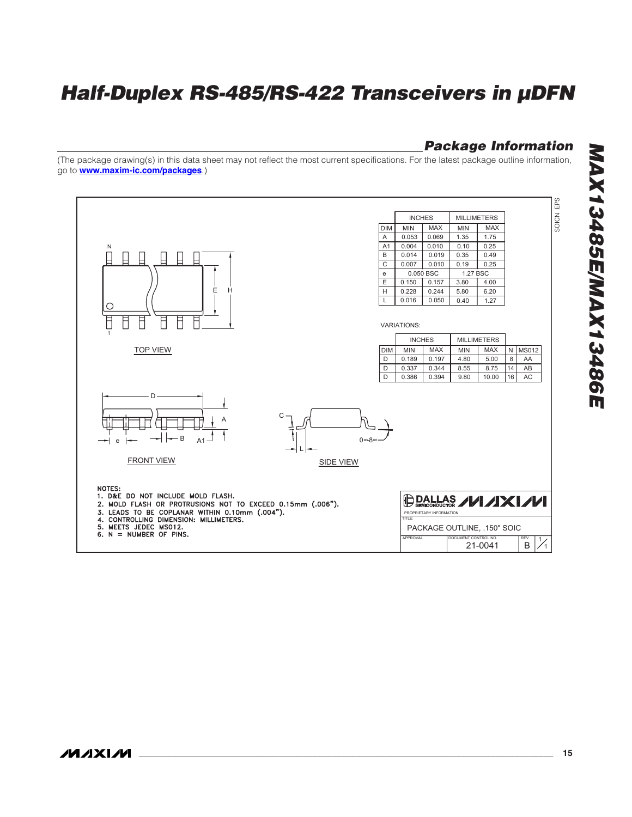### **Package Information**

(The package drawing(s) in this data sheet may not reflect the most current specifications. For the latest package outline information, go to **www.maxim-ic.com/packages**.)